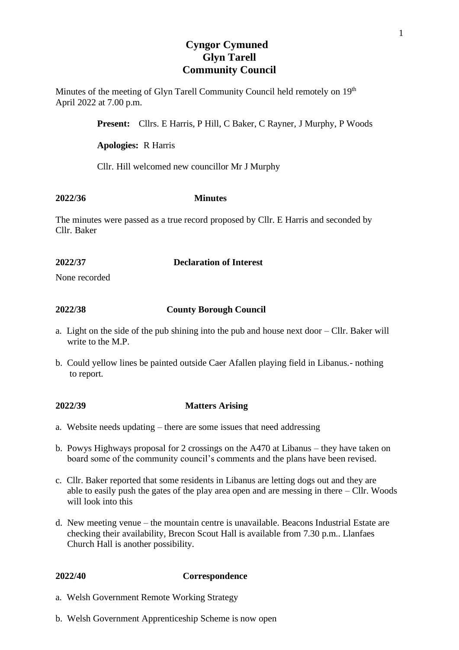# **Cyngor Cymuned Glyn Tarell Community Council**

Minutes of the meeting of Glyn Tarell Community Council held remotely on 19<sup>th</sup> April 2022 at 7.00 p.m.

**Present:** Cllrs. E Harris, P Hill, C Baker, C Rayner, J Murphy, P Woods

#### **Apologies:** R Harris

Cllr. Hill welcomed new councillor Mr J Murphy

#### **2022/36 Minutes**

The minutes were passed as a true record proposed by Cllr. E Harris and seconded by Cllr. Baker

### **2022/37 Declaration of Interest**

None recorded

# **2022/38 County Borough Council**

- a. Light on the side of the pub shining into the pub and house next door Cllr. Baker will write to the M.P.
- b. Could yellow lines be painted outside Caer Afallen playing field in Libanus.- nothing to report.

#### **2022/39 Matters Arising**

- a. Website needs updating there are some issues that need addressing
- b. Powys Highways proposal for 2 crossings on the A470 at Libanus they have taken on board some of the community council's comments and the plans have been revised.
- c. Cllr. Baker reported that some residents in Libanus are letting dogs out and they are able to easily push the gates of the play area open and are messing in there – Cllr. Woods will look into this
- d. New meeting venue the mountain centre is unavailable. Beacons Industrial Estate are checking their availability, Brecon Scout Hall is available from 7.30 p.m.. Llanfaes Church Hall is another possibility.

# **2022/40 Correspondence**

- a. Welsh Government Remote Working Strategy
- b. Welsh Government Apprenticeship Scheme is now open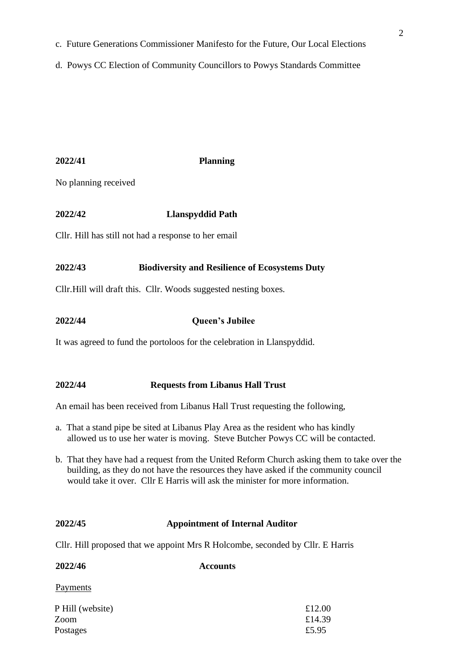d. Powys CC Election of Community Councillors to Powys Standards Committee

### **2022/41 Planning**

No planning received

# **2022/42 Llanspyddid Path**

Cllr. Hill has still not had a response to her email

### **2022/43 Biodiversity and Resilience of Ecosystems Duty**

Cllr.Hill will draft this. Cllr. Woods suggested nesting boxes.

### **2022/44 Queen's Jubilee**

It was agreed to fund the portoloos for the celebration in Llanspyddid.

#### **2022/44 Requests from Libanus Hall Trust**

An email has been received from Libanus Hall Trust requesting the following,

- a. That a stand pipe be sited at Libanus Play Area as the resident who has kindly allowed us to use her water is moving. Steve Butcher Powys CC will be contacted.
- b. That they have had a request from the United Reform Church asking them to take over the building, as they do not have the resources they have asked if the community council would take it over. Cllr E Harris will ask the minister for more information.

# **2022/45 Appointment of Internal Auditor**

Cllr. Hill proposed that we appoint Mrs R Holcombe, seconded by Cllr. E Harris

| 2022/46          | <b>Accounts</b> |        |
|------------------|-----------------|--------|
| <b>Payments</b>  |                 |        |
| P Hill (website) |                 | £12.00 |
| Zoom             |                 | £14.39 |

Postages  $£5.95$